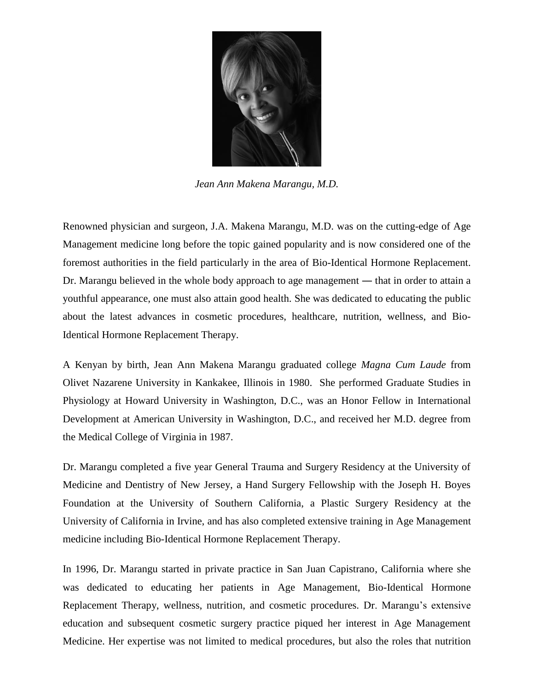

*Jean Ann Makena Marangu, M.D.*

Renowned physician and surgeon, J.A. Makena Marangu, M.D. was on the cutting-edge of Age Management medicine long before the topic gained popularity and is now considered one of the foremost authorities in the field particularly in the area of Bio-Identical Hormone Replacement. Dr. Marangu believed in the whole body approach to age management ― that in order to attain a youthful appearance, one must also attain good health. She was dedicated to educating the public about the latest advances in cosmetic procedures, healthcare, nutrition, wellness, and Bio-Identical Hormone Replacement Therapy.

A Kenyan by birth, Jean Ann Makena Marangu graduated college *Magna Cum Laude* from Olivet Nazarene University in Kankakee, Illinois in 1980. She performed Graduate Studies in Physiology at Howard University in Washington, D.C., was an Honor Fellow in International Development at American University in Washington, D.C., and received her M.D. degree from the Medical College of Virginia in 1987.

Dr. Marangu completed a five year General Trauma and Surgery Residency at the University of Medicine and Dentistry of New Jersey, a Hand Surgery Fellowship with the Joseph H. Boyes Foundation at the University of Southern California, a Plastic Surgery Residency at the University of California in Irvine, and has also completed extensive training in Age Management medicine including Bio-Identical Hormone Replacement Therapy.

In 1996, Dr. Marangu started in private practice in San Juan Capistrano, California where she was dedicated to educating her patients in Age Management, Bio-Identical Hormone Replacement Therapy, wellness, nutrition, and cosmetic procedures. Dr. Marangu's extensive education and subsequent cosmetic surgery practice piqued her interest in Age Management Medicine. Her expertise was not limited to medical procedures, but also the roles that nutrition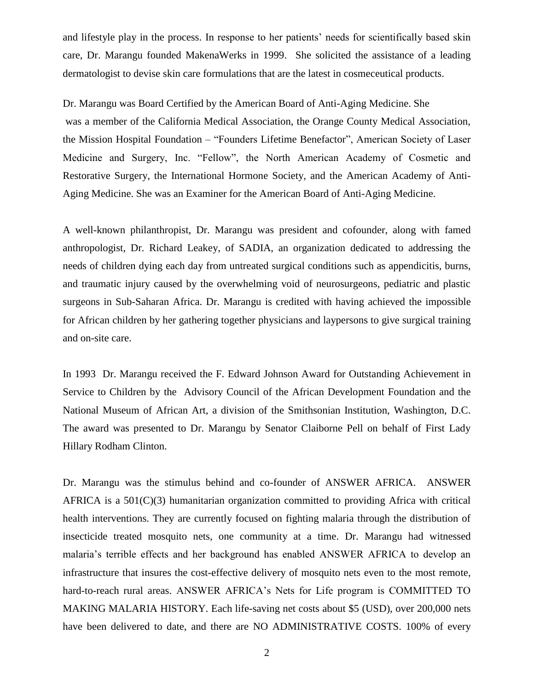and lifestyle play in the process. In response to her patients' needs for scientifically based skin care, Dr. Marangu founded MakenaWerks in 1999. She solicited the assistance of a leading dermatologist to devise skin care formulations that are the latest in cosmeceutical products.

Dr. Marangu was Board Certified by the American Board of Anti-Aging Medicine. She was a member of the California Medical Association, the Orange County Medical Association, the Mission Hospital Foundation – "Founders Lifetime Benefactor", American Society of Laser Medicine and Surgery, Inc. "Fellow", the North American Academy of Cosmetic and Restorative Surgery, the International Hormone Society, and the American Academy of Anti-Aging Medicine. She was an Examiner for the American Board of Anti-Aging Medicine.

A well-known philanthropist, Dr. Marangu was president and cofounder, along with famed anthropologist, Dr. Richard Leakey, of SADIA, an organization dedicated to addressing the needs of children dying each day from untreated surgical conditions such as appendicitis, burns, and traumatic injury caused by the overwhelming void of neurosurgeons, pediatric and plastic surgeons in Sub-Saharan Africa. Dr. Marangu is credited with having achieved the impossible for African children by her gathering together physicians and laypersons to give surgical training and on-site care.

In 1993 Dr. Marangu received the F. Edward Johnson Award for Outstanding Achievement in Service to Children by the Advisory Council of the African Development Foundation and the National Museum of African Art, a division of the Smithsonian Institution, Washington, D.C. The award was presented to Dr. Marangu by Senator Claiborne Pell on behalf of First Lady Hillary Rodham Clinton.

Dr. Marangu was the stimulus behind and co-founder of ANSWER AFRICA. ANSWER AFRICA is a 501(C)(3) humanitarian organization committed to providing Africa with critical health interventions. They are currently focused on fighting malaria through the distribution of insecticide treated mosquito nets, one community at a time. Dr. Marangu had witnessed malaria's terrible effects and her background has enabled ANSWER AFRICA to develop an infrastructure that insures the cost-effective delivery of mosquito nets even to the most remote, hard-to-reach rural areas. ANSWER AFRICA's Nets for Life program is COMMITTED TO MAKING MALARIA HISTORY. Each life-saving net costs about \$5 (USD), over 200,000 nets have been delivered to date, and there are NO ADMINISTRATIVE COSTS. 100% of every